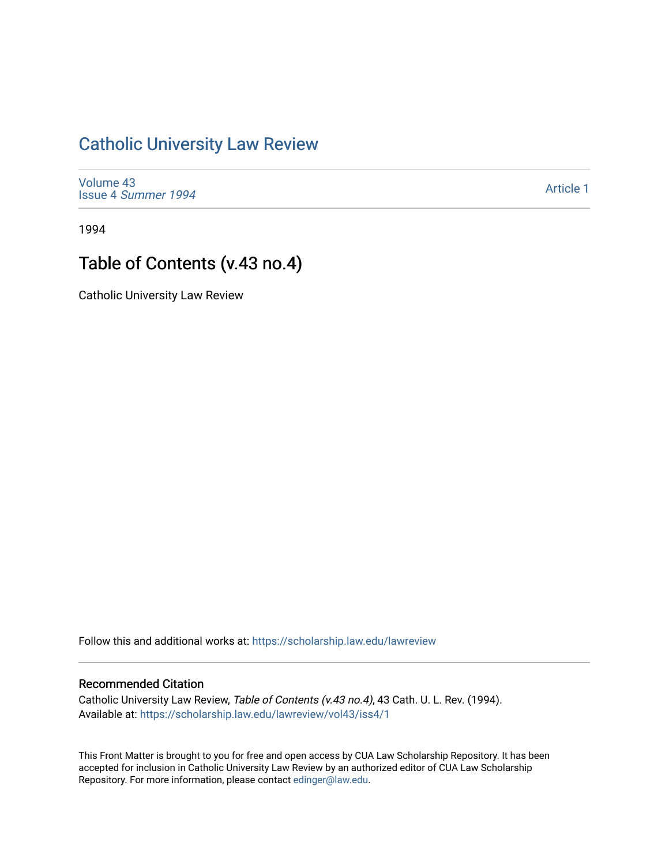## [Catholic University Law Review](https://scholarship.law.edu/lawreview)

[Volume 43](https://scholarship.law.edu/lawreview/vol43) Issue 4 [Summer 1994](https://scholarship.law.edu/lawreview/vol43/iss4) 

[Article 1](https://scholarship.law.edu/lawreview/vol43/iss4/1) 

1994

## Table of Contents (v.43 no.4)

Catholic University Law Review

Follow this and additional works at: [https://scholarship.law.edu/lawreview](https://scholarship.law.edu/lawreview?utm_source=scholarship.law.edu%2Flawreview%2Fvol43%2Fiss4%2F1&utm_medium=PDF&utm_campaign=PDFCoverPages)

## Recommended Citation

Catholic University Law Review, Table of Contents (v.43 no.4), 43 Cath. U. L. Rev. (1994). Available at: [https://scholarship.law.edu/lawreview/vol43/iss4/1](https://scholarship.law.edu/lawreview/vol43/iss4/1?utm_source=scholarship.law.edu%2Flawreview%2Fvol43%2Fiss4%2F1&utm_medium=PDF&utm_campaign=PDFCoverPages)

This Front Matter is brought to you for free and open access by CUA Law Scholarship Repository. It has been accepted for inclusion in Catholic University Law Review by an authorized editor of CUA Law Scholarship Repository. For more information, please contact [edinger@law.edu.](mailto:edinger@law.edu)